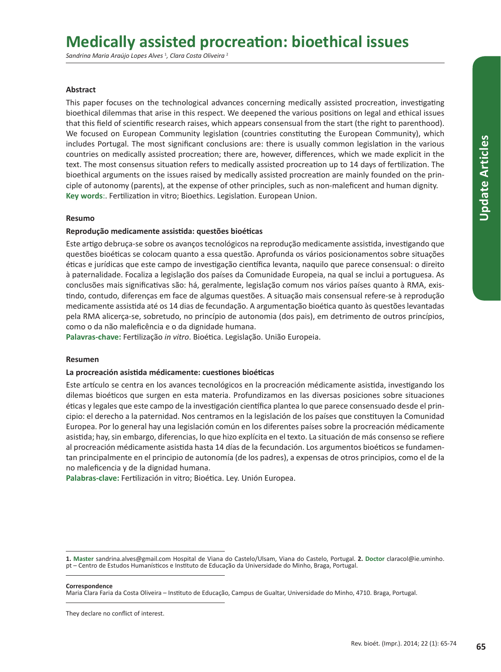# **Medically assisted procreation: bioethical issues**

*Sandrina Maria Araújo Lopes Alves* <sup>1</sup> *, Clara Costa Oliveira* <sup>2</sup>

# **Abstract**

This paper focuses on the technological advances concerning medically assisted procreation, investigating bioethical dilemmas that arise in this respect. We deepened the various positions on legal and ethical issues that this field of scientific research raises, which appears consensual from the start (the right to parenthood). We focused on European Community legislation (countries constituting the European Community), which includes Portugal. The most significant conclusions are: there is usually common legislation in the various countries on medically assisted procreation; there are, however, differences, which we made explicit in the text. The most consensus situation refers to medically assisted procreation up to 14 days of fertilization. The bioethical arguments on the issues raised by medically assisted procreation are mainly founded on the principle of autonomy (parents), at the expense of other principles, such as non-maleficent and human dignity. **Key words**:. Fertilization in vitro; Bioethics. Legislation. European Union.

## **Resumo**

## **Reprodução medicamente assistida: questões bioéticas**

Este artigo debruça-se sobre os avanços tecnológicos na reprodução medicamente assistida, investigando que questões bioéticas se colocam quanto a essa questão. Aprofunda os vários posicionamentos sobre situações éticas e jurídicas que este campo de investigação científica levanta, naquilo que parece consensual: o direito à paternalidade. Focaliza a legislação dos países da Comunidade Europeia, na qual se inclui a portuguesa. As conclusões mais significativas são: há, geralmente, legislação comum nos vários países quanto à RMA, existindo, contudo, diferenças em face de algumas questões. A situação mais consensual refere-se à reprodução medicamente assistida até os 14 dias de fecundação. A argumentação bioética quanto às questões levantadas pela RMA alicerça-se, sobretudo, no princípio de autonomia (dos pais), em detrimento de outros princípios, como o da não maleficência e o da dignidade humana.

**Palavras-chave:** Fertilização *in vitro*. Bioética. Legislação. União Europeia.

## **Resumen**

## **La procreación asistida médicamente: cuestiones bioéticas**

Este artículo se centra en los avances tecnológicos en la procreación médicamente asistida, investigando los dilemas bioéticos que surgen en esta materia. Profundizamos en las diversas posiciones sobre situaciones éticas y legales que este campo de la investigación científica plantea lo que parece consensuado desde el principio: el derecho a la paternidad. Nos centramos en la legislación de los países que constituyen la Comunidad Europea. Por lo general hay una legislación común en los diferentes países sobre la procreación médicamente asistida; hay, sin embargo, diferencias, lo que hizo explícita en el texto. La situación de más consenso se refiere al procreación médicamente asistida hasta 14 días de la fecundación. Los argumentos bioéticos se fundamentan principalmente en el principio de autonomía (de los padres), a expensas de otros principios, como el de la no maleficencia y de la dignidad humana.

**Palabras-clave:** Fertilización in vitro; Bioética. Ley. Unión Europea.

**Correspondence**

Maria Clara Faria da Costa Oliveira – Instituto de Educação, Campus de Gualtar, Universidade do Minho, 4710. Braga, Portugal.

They declare no conflict of interest.

**<sup>1.</sup> Master** sandrina.alves@gmail.com Hospital de Viana do Castelo/Ulsam, Viana do Castelo, Portugal. **2. Doctor** claracol@ie.uminho. pt – Centro de Estudos Humanísticos e Instituto de Educação da Universidade do Minho, Braga, Portugal.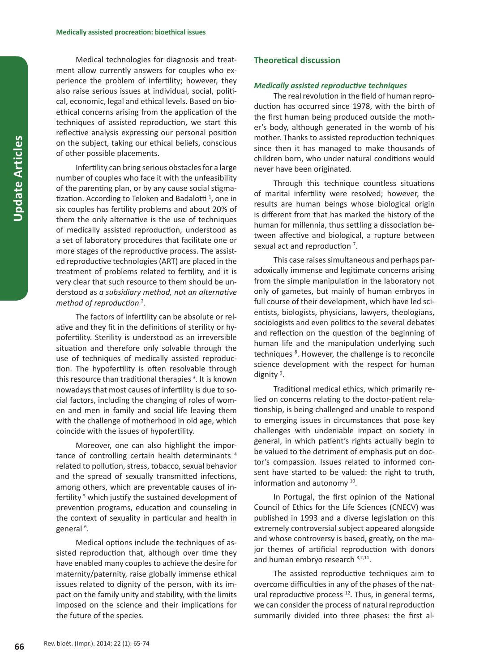Medical technologies for diagnosis and treatment allow currently answers for couples who experience the problem of infertility; however, they also raise serious issues at individual, social, political, economic, legal and ethical levels. Based on bioethical concerns arising from the application of the techniques of assisted reproduction, we start this reflective analysis expressing our personal position on the subject, taking our ethical beliefs, conscious of other possible placements.

Infertility can bring serious obstacles for a large number of couples who face it with the unfeasibility of the parenting plan, or by any cause social stigmatization. According to Teloken and Badalotti<sup>1</sup>, one in six couples has fertility problems and about 20% of them the only alternative is the use of techniques of medically assisted reproduction, understood as a set of laboratory procedures that facilitate one or more stages of the reproductive process. The assisted reproductive technologies (ART) are placed in the treatment of problems related to fertility, and it is very clear that such resource to them should be understood as *a subsidiary method, not an alternative method of reproduction* <sup>2</sup> .

The factors of infertility can be absolute or relative and they fit in the definitions of sterility or hypofertility. Sterility is understood as an irreversible situation and therefore only solvable through the use of techniques of medically assisted reproduction. The hypofertility is often resolvable through this resource than traditional therapies<sup>3</sup>. It is known nowadays that most causes of infertility is due to social factors, including the changing of roles of women and men in family and social life leaving them with the challenge of motherhood in old age, which coincide with the issues of hypofertility.

Moreover, one can also highlight the importance of controlling certain health determinants <sup>4</sup> related to pollution, stress, tobacco, sexual behavior and the spread of sexually transmitted infections, among others, which are preventable causes of infertility<sup>5</sup> which justify the sustained development of prevention programs, education and counseling in the context of sexuality in particular and health in general<sup>6</sup>.

Medical options include the techniques of assisted reproduction that, although over time they have enabled many couples to achieve the desire for maternity/paternity, raise globally immense ethical issues related to dignity of the person, with its impact on the family unity and stability, with the limits imposed on the science and their implications for the future of the species.

## **Theoretical discussion**

#### *Medically assisted reproductive techniques*

The real revolution in the field of human reproduction has occurred since 1978, with the birth of the first human being produced outside the mother's body, although generated in the womb of his mother. Thanks to assisted reproduction techniques since then it has managed to make thousands of children born, who under natural conditions would never have been originated.

Through this technique countless situations of marital infertility were resolved; however, the results are human beings whose biological origin is different from that has marked the history of the human for millennia, thus settling a dissociation between affective and biological, a rupture between sexual act and reproduction<sup>7</sup>.

This case raises simultaneous and perhaps paradoxically immense and legitimate concerns arising from the simple manipulation in the laboratory not only of gametes, but mainly of human embryos in full course of their development, which have led scientists, biologists, physicians, lawyers, theologians, sociologists and even politics to the several debates and reflection on the question of the beginning of human life and the manipulation underlying such techniques<sup>8</sup>. However, the challenge is to reconcile science development with the respect for human dignity<sup>9</sup>.

Traditional medical ethics, which primarily relied on concerns relating to the doctor-patient relationship, is being challenged and unable to respond to emerging issues in circumstances that pose key challenges with undeniable impact on society in general, in which patient's rights actually begin to be valued to the detriment of emphasis put on doctor's compassion. Issues related to informed consent have started to be valued: the right to truth, information and autonomy 10.

In Portugal, the first opinion of the National Council of Ethics for the Life Sciences (CNECV) was published in 1993 and a diverse legislation on this extremely controversial subject appeared alongside and whose controversy is based, greatly, on the major themes of artificial reproduction with donors and human embryo research 3,2,11.

The assisted reproductive techniques aim to overcome difficulties in any of the phases of the natural reproductive process  $12$ . Thus, in general terms, we can consider the process of natural reproduction summarily divided into three phases: the first al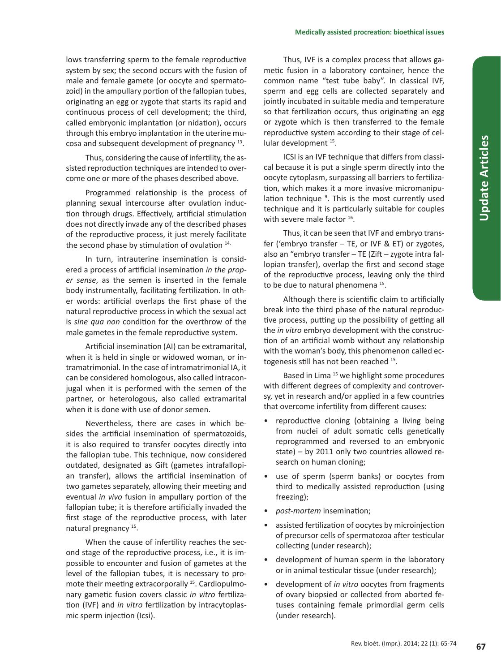lows transferring sperm to the female reproductive system by sex; the second occurs with the fusion of male and female gamete (or oocyte and spermatozoid) in the ampullary portion of the fallopian tubes, originating an egg or zygote that starts its rapid and continuous process of cell development; the third, called embryonic implantation (or nidation), occurs through this embryo implantation in the uterine mucosa and subsequent development of pregnancy 13.

Thus, considering the cause of infertility, the assisted reproduction techniques are intended to overcome one or more of the phases described above.

Programmed relationship is the process of planning sexual intercourse after ovulation induction through drugs. Effectively, artificial stimulation does not directly invade any of the described phases of the reproductive process, it just merely facilitate the second phase by stimulation of ovulation 14.

In turn, intrauterine insemination is considered a process of artificial insemination *in the proper sense*, as the semen is inserted in the female body instrumentally, facilitating fertilization. In other words: artificial overlaps the first phase of the natural reproductive process in which the sexual act is *sine qua non* condition for the overthrow of the male gametes in the female reproductive system.

Artificial insemination (AI) can be extramarital, when it is held in single or widowed woman, or intramatrimonial. In the case of intramatrimonial IA, it can be considered homologous, also called intraconjugal when it is performed with the semen of the partner, or heterologous, also called extramarital when it is done with use of donor semen.

Nevertheless, there are cases in which besides the artificial insemination of spermatozoids, it is also required to transfer oocytes directly into the fallopian tube. This technique, now considered outdated, designated as Gift (gametes intrafallopian transfer), allows the artificial insemination of two gametes separately, allowing their meeting and eventual *in vivo* fusion in ampullary portion of the fallopian tube; it is therefore artificially invaded the first stage of the reproductive process, with later natural pregnancy 15.

When the cause of infertility reaches the second stage of the reproductive process, i.e., it is impossible to encounter and fusion of gametes at the level of the fallopian tubes, it is necessary to promote their meeting extracorporally <sup>15</sup>. Cardiopulmonary gametic fusion covers classic *in vitro* fertilization (IVF) and *in vitro* fertilization by intracytoplasmic sperm injection (Icsi).

Thus, IVF is a complex process that allows gametic fusion in a laboratory container, hence the common name "test tube baby". In classical IVF, sperm and egg cells are collected separately and jointly incubated in suitable media and temperature so that fertilization occurs, thus originating an egg or zygote which is then transferred to the female reproductive system according to their stage of cellular development 15.

ICSI is an IVF technique that differs from classical because it is put a single sperm directly into the oocyte cytoplasm, surpassing all barriers to fertilization, which makes it a more invasive micromanipulation technique <sup>9</sup>. This is the most currently used technique and it is particularly suitable for couples with severe male factor <sup>16</sup>.

Thus, it can be seen that IVF and embryo transfer ('embryo transfer – TE, or IVF & ET) or zygotes, also an "embryo transfer – TE (Zift – zygote intra fallopian transfer), overlap the first and second stage of the reproductive process, leaving only the third to be due to natural phenomena<sup>15</sup>.

Although there is scientific claim to artificially break into the third phase of the natural reproductive process, putting up the possibility of getting all the *in vitro* embryo development with the construction of an artificial womb without any relationship with the woman's body, this phenomenon called ectogenesis still has not been reached 15.

Based in Lima<sup>15</sup> we highlight some procedures with different degrees of complexity and controversy, yet in research and/or applied in a few countries that overcome infertility from different causes:

- reproductive cloning (obtaining a living being from nuclei of adult somatic cells genetically reprogrammed and reversed to an embryonic state) – by 2011 only two countries allowed research on human cloning;
- use of sperm (sperm banks) or oocytes from third to medically assisted reproduction (using freezing);
- *post-mortem* insemination;
- assisted fertilization of oocytes by microinjection of precursor cells of spermatozoa after testicular collecting (under research);
- development of human sperm in the laboratory or in animal testicular tissue (under research);
- development of *in vitro* oocytes from fragments of ovary biopsied or collected from aborted fetuses containing female primordial germ cells (under research).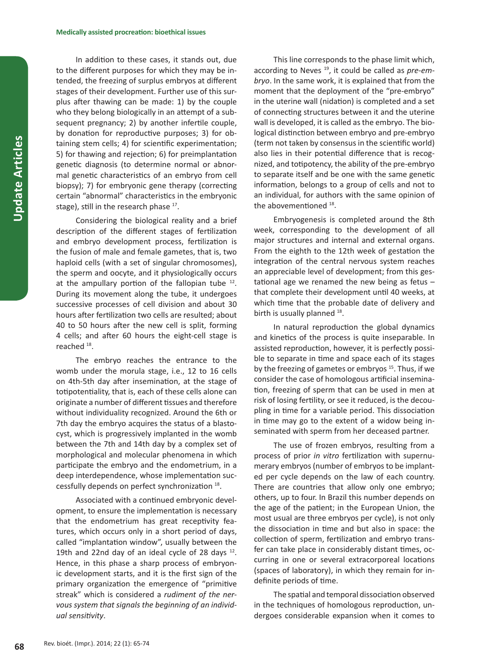In addition to these cases, it stands out, due to the different purposes for which they may be intended, the freezing of surplus embryos at different stages of their development. Further use of this surplus after thawing can be made: 1) by the couple who they belong biologically in an attempt of a subsequent pregnancy; 2) by another infertile couple, by donation for reproductive purposes; 3) for obtaining stem cells; 4) for scientific experimentation; 5) for thawing and rejection; 6) for preimplantation genetic diagnosis (to determine normal or abnormal genetic characteristics of an embryo from cell biopsy); 7) for embryonic gene therapy (correcting certain "abnormal" characteristics in the embryonic stage), still in the research phase <sup>17</sup>.

Considering the biological reality and a brief description of the different stages of fertilization and embryo development process, fertilization is the fusion of male and female gametes, that is, two haploid cells (with a set of singular chromosomes), the sperm and oocyte, and it physiologically occurs at the ampullary portion of the fallopian tube  $12$ . During its movement along the tube, it undergoes successive processes of cell division and about 30 hours after fertilization two cells are resulted; about 40 to 50 hours after the new cell is split, forming 4 cells; and after 60 hours the eight-cell stage is reached <sup>18</sup>.

The embryo reaches the entrance to the womb under the morula stage, i.e., 12 to 16 cells on 4th-5th day after insemination, at the stage of totipotentiality, that is, each of these cells alone can originate a number of different tissues and therefore without individuality recognized. Around the 6th or 7th day the embryo acquires the status of a blastocyst, which is progressively implanted in the womb between the 7th and 14th day by a complex set of morphological and molecular phenomena in which participate the embryo and the endometrium, in a deep interdependence, whose implementation successfully depends on perfect synchronization 18.

Associated with a continued embryonic development, to ensure the implementation is necessary that the endometrium has great receptivity features, which occurs only in a short period of days, called "implantation window", usually between the 19th and 22nd day of an ideal cycle of 28 days  $12$ . Hence, in this phase a sharp process of embryonic development starts, and it is the first sign of the primary organization the emergence of "primitive streak" which is considered a *rudiment of the nervous system that signals the beginning of an individual sensitivity*.

This line corresponds to the phase limit which, according to Neves 19, it could be called as *pre-embryo*. In the same work, it is explained that from the moment that the deployment of the "pre-embryo" in the uterine wall (nidation) is completed and a set of connecting structures between it and the uterine wall is developed, it is called as the embryo. The biological distinction between embryo and pre-embryo (term not taken by consensus in the scientific world) also lies in their potential difference that is recognized, and totipotency, the ability of the pre-embryo to separate itself and be one with the same genetic information, belongs to a group of cells and not to an individual, for authors with the same opinion of the abovementioned 18.

Embryogenesis is completed around the 8th week, corresponding to the development of all major structures and internal and external organs. From the eighth to the 12th week of gestation the integration of the central nervous system reaches an appreciable level of development; from this gestational age we renamed the new being as fetus  $$ that complete their development until 40 weeks, at which time that the probable date of delivery and birth is usually planned <sup>18</sup>.

In natural reproduction the global dynamics and kinetics of the process is quite inseparable. In assisted reproduction, however, it is perfectly possible to separate in time and space each of its stages by the freezing of gametes or embryos<sup>15</sup>. Thus, if we consider the case of homologous artificial insemination, freezing of sperm that can be used in men at risk of losing fertility, or see it reduced, is the decoupling in time for a variable period. This dissociation in time may go to the extent of a widow being inseminated with sperm from her deceased partner.

The use of frozen embryos, resulting from a process of prior *in vitro* fertilization with supernumerary embryos (number of embryos to be implanted per cycle depends on the law of each country. There are countries that allow only one embryo; others, up to four. In Brazil this number depends on the age of the patient; in the European Union, the most usual are three embryos per cycle), is not only the dissociation in time and but also in space: the collection of sperm, fertilization and embryo transfer can take place in considerably distant times, occurring in one or several extracorporeal locations (spaces of laboratory), in which they remain for indefinite periods of time.

The spatial and temporal dissociation observed in the techniques of homologous reproduction, undergoes considerable expansion when it comes to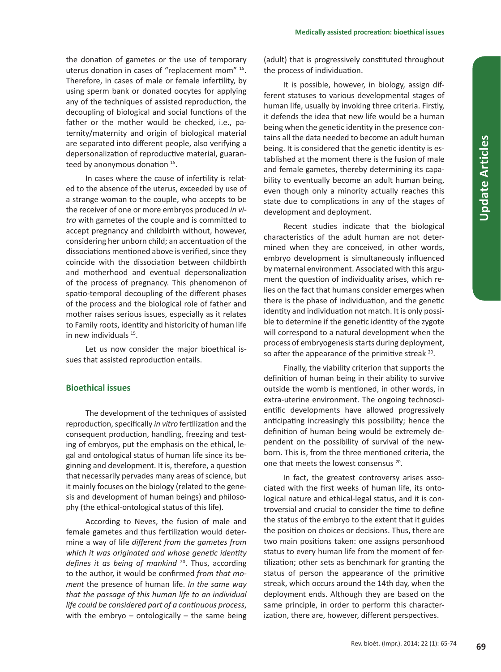the donation of gametes or the use of temporary uterus donation in cases of "replacement mom" 15. Therefore, in cases of male or female infertility, by using sperm bank or donated oocytes for applying any of the techniques of assisted reproduction, the decoupling of biological and social functions of the father or the mother would be checked, i.e., paternity/maternity and origin of biological material are separated into different people, also verifying a depersonalization of reproductive material, guaranteed by anonymous donation <sup>15</sup>.

In cases where the cause of infertility is related to the absence of the uterus, exceeded by use of a strange woman to the couple, who accepts to be the receiver of one or more embryos produced *in vitro* with gametes of the couple and is committed to accept pregnancy and childbirth without, however, considering her unborn child; an accentuation of the dissociations mentioned above is verified, since they coincide with the dissociation between childbirth and motherhood and eventual depersonalization of the process of pregnancy. This phenomenon of spatio-temporal decoupling of the different phases of the process and the biological role of father and mother raises serious issues, especially as it relates to Family roots, identity and historicity of human life in new individuals 15.

Let us now consider the major bioethical issues that assisted reproduction entails.

# **Bioethical issues**

The development of the techniques of assisted reproduction, specifically *in vitro* fertilization and the consequent production, handling, freezing and testing of embryos, put the emphasis on the ethical, legal and ontological status of human life since its beginning and development. It is, therefore, a question that necessarily pervades many areas of science, but it mainly focuses on the biology (related to the genesis and development of human beings) and philosophy (the ethical-ontological status of this life).

According to Neves, the fusion of male and female gametes and thus fertilization would determine a way of life *different from the gametes from which it was originated and whose genetic identity defines it as being of mankind* <sup>20</sup>. Thus, according to the author, it would be confirmed *from that moment* the presence of human life. *In the same way that the passage of this human life to an individual life could be considered part of a continuous process*, with the embryo  $-$  ontologically  $-$  the same being

(adult) that is progressively constituted throughout the process of individuation.

It is possible, however, in biology, assign different statuses to various developmental stages of human life, usually by invoking three criteria. Firstly, it defends the idea that new life would be a human being when the genetic identity in the presence contains all the data needed to become an adult human being. It is considered that the genetic identity is established at the moment there is the fusion of male and female gametes, thereby determining its capability to eventually become an adult human being, even though only a minority actually reaches this state due to complications in any of the stages of development and deployment.

Recent studies indicate that the biological characteristics of the adult human are not determined when they are conceived, in other words, embryo development is simultaneously influenced by maternal environment. Associated with this argument the question of individuality arises, which relies on the fact that humans consider emerges when there is the phase of individuation, and the genetic identity and individuation not match. It is only possible to determine if the genetic identity of the zygote will correspond to a natural development when the process of embryogenesis starts during deployment, so after the appearance of the primitive streak <sup>20</sup>.

Finally, the viability criterion that supports the definition of human being in their ability to survive outside the womb is mentioned, in other words, in extra-uterine environment. The ongoing technoscientific developments have allowed progressively anticipating increasingly this possibility; hence the definition of human being would be extremely dependent on the possibility of survival of the newborn. This is, from the three mentioned criteria, the one that meets the lowest consensus 20.

In fact, the greatest controversy arises associated with the first weeks of human life, its ontological nature and ethical-legal status, and it is controversial and crucial to consider the time to define the status of the embryo to the extent that it guides the position on choices or decisions. Thus, there are two main positions taken: one assigns personhood status to every human life from the moment of fertilization; other sets as benchmark for granting the status of person the appearance of the primitive streak, which occurs around the 14th day, when the deployment ends. Although they are based on the same principle, in order to perform this characterization, there are, however, different perspectives.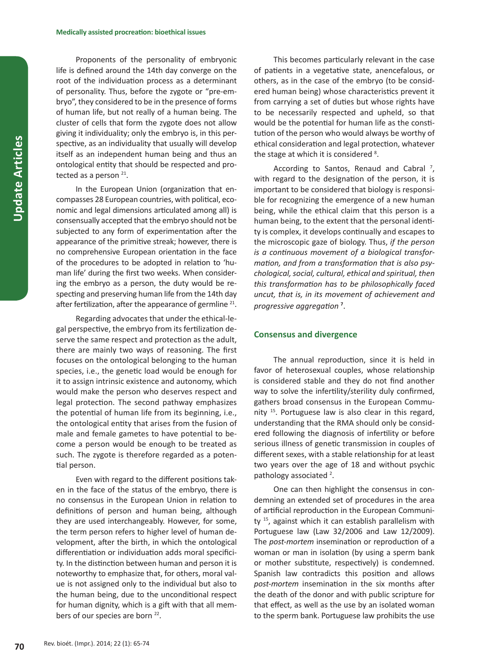Proponents of the personality of embryonic life is defined around the 14th day converge on the root of the individuation process as a determinant of personality. Thus, before the zygote or "pre-embryo", they considered to be in the presence of forms of human life, but not really of a human being. The cluster of cells that form the zygote does not allow giving it individuality; only the embryo is, in this perspective, as an individuality that usually will develop itself as an independent human being and thus an ontological entity that should be respected and protected as a person  $21$ .

In the European Union (organization that encompasses 28 European countries, with political, economic and legal dimensions articulated among all) is consensually accepted that the embryo should not be subjected to any form of experimentation after the appearance of the primitive streak; however, there is no comprehensive European orientation in the face of the procedures to be adopted in relation to 'human life' during the first two weeks. When considering the embryo as a person, the duty would be respecting and preserving human life from the 14th day after fertilization, after the appearance of germline 21.

Regarding advocates that under the ethical-legal perspective, the embryo from its fertilization deserve the same respect and protection as the adult, there are mainly two ways of reasoning. The first focuses on the ontological belonging to the human species, i.e., the genetic load would be enough for it to assign intrinsic existence and autonomy, which would make the person who deserves respect and legal protection. The second pathway emphasizes the potential of human life from its beginning, i.e., the ontological entity that arises from the fusion of male and female gametes to have potential to become a person would be enough to be treated as such. The zygote is therefore regarded as a potential person.

Even with regard to the different positions taken in the face of the status of the embryo, there is no consensus in the European Union in relation to definitions of person and human being, although they are used interchangeably. However, for some, the term person refers to higher level of human development, after the birth, in which the ontological differentiation or individuation adds moral specificity. In the distinction between human and person it is noteworthy to emphasize that, for others, moral value is not assigned only to the individual but also to the human being, due to the unconditional respect for human dignity, which is a gift with that all members of our species are born <sup>22</sup>.

This becomes particularly relevant in the case of patients in a vegetative state, anencefalous, or others, as in the case of the embryo (to be considered human being) whose characteristics prevent it from carrying a set of duties but whose rights have to be necessarily respected and upheld, so that would be the potential for human life as the constitution of the person who would always be worthy of ethical consideration and legal protection, whatever the stage at which it is considered <sup>8</sup>.

According to Santos, Renaud and Cabral<sup>7</sup>, with regard to the designation of the person, it is important to be considered that biology is responsible for recognizing the emergence of a new human being, while the ethical claim that this person is a human being, to the extent that the personal identity is complex, it develops continually and escapes to the microscopic gaze of biology. Thus, *if the person is a continuous movement of a biological transformation, and from a transformation that is also psychological, social, cultural, ethical and spiritual, then this transformation has to be philosophically faced uncut, that is, in its movement of achievement and progressive aggregation* **<sup>7</sup>** .

#### **Consensus and divergence**

The annual reproduction, since it is held in favor of heterosexual couples, whose relationship is considered stable and they do not find another way to solve the infertility/sterility duly confirmed, gathers broad consensus in the European Community 15. Portuguese law is also clear in this regard, understanding that the RMA should only be considered following the diagnosis of infertility or before serious illness of genetic transmission in couples of different sexes, with a stable relationship for at least two years over the age of 18 and without psychic pathology associated <sup>2</sup>.

One can then highlight the consensus in condemning an extended set of procedures in the area of artificial reproduction in the European Community 15, against which it can establish parallelism with Portuguese law (Law 32/2006 and Law 12/2009). The *post-mortem* insemination or reproduction of a woman or man in isolation (by using a sperm bank or mother substitute, respectively) is condemned. Spanish law contradicts this position and allows *post-mortem* insemination in the six months after the death of the donor and with public scripture for that effect, as well as the use by an isolated woman to the sperm bank. Portuguese law prohibits the use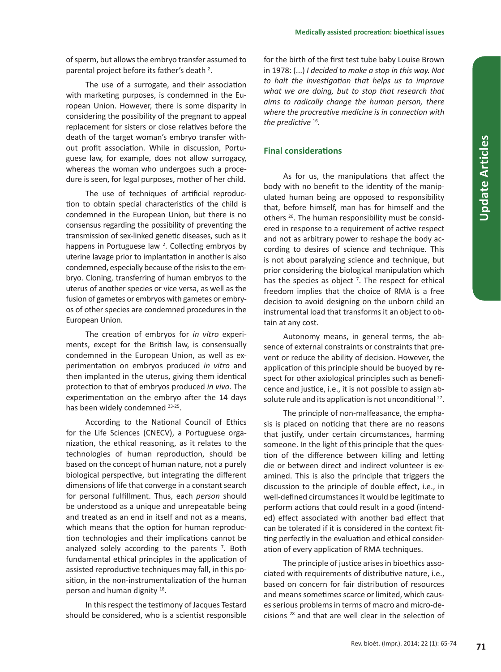of sperm, but allows the embryo transfer assumed to parental project before its father's death <sup>2</sup>.

The use of a surrogate, and their association with marketing purposes, is condemned in the European Union. However, there is some disparity in considering the possibility of the pregnant to appeal replacement for sisters or close relatives before the death of the target woman's embryo transfer without profit association. While in discussion, Portuguese law, for example, does not allow surrogacy, whereas the woman who undergoes such a procedure is seen, for legal purposes, mother of her child.

The use of techniques of artificial reproduction to obtain special characteristics of the child is condemned in the European Union, but there is no consensus regarding the possibility of preventing the transmission of sex-linked genetic diseases, such as it happens in Portuguese law  $2$ . Collecting embryos by uterine lavage prior to implantation in another is also condemned, especially because of the risks to the embryo. Cloning, transferring of human embryos to the uterus of another species or vice versa, as well as the fusion of gametes or embryos with gametes or embryos of other species are condemned procedures in the European Union.

The creation of embryos for *in vitro* experiments, except for the British law, is consensually condemned in the European Union, as well as experimentation on embryos produced *in vitro* and then implanted in the uterus, giving them identical protection to that of embryos produced *in vivo*. The experimentation on the embryo after the 14 days has been widely condemned 23-25.

According to the National Council of Ethics for the Life Sciences (CNECV), a Portuguese organization, the ethical reasoning, as it relates to the technologies of human reproduction, should be based on the concept of human nature, not a purely biological perspective, but integrating the different dimensions of life that converge in a constant search for personal fulfillment. Thus, each *person* should be understood as a unique and unrepeatable being and treated as an end in itself and not as a means, which means that the option for human reproduction technologies and their implications cannot be analyzed solely according to the parents  $<sup>7</sup>$ . Both</sup> fundamental ethical principles in the application of assisted reproductive techniques may fall, in this position, in the non-instrumentalization of the human person and human dignity <sup>18</sup>.

In this respect the testimony of Jacques Testard should be considered, who is a scientist responsible

for the birth of the first test tube baby Louise Brown in 1978: (...) *I decided to make a stop in this way. Not to halt the investigation that helps us to improve what we are doing, but to stop that research that aims to radically change the human person, there where the procreative medicine is in connection with the predictive* 16.

# **Final considerations**

As for us, the manipulations that affect the body with no benefit to the identity of the manipulated human being are opposed to responsibility that, before himself, man has for himself and the others <sup>26</sup>. The human responsibility must be considered in response to a requirement of active respect and not as arbitrary power to reshape the body according to desires of science and technique. This is not about paralyzing science and technique, but prior considering the biological manipulation which has the species as object  $<sup>7</sup>$ . The respect for ethical</sup> freedom implies that the choice of RMA is a free decision to avoid designing on the unborn child an instrumental load that transforms it an object to obtain at any cost.

Autonomy means, in general terms, the absence of external constraints or constraints that prevent or reduce the ability of decision. However, the application of this principle should be buoyed by respect for other axiological principles such as beneficence and justice, i.e., it is not possible to assign absolute rule and its application is not unconditional <sup>27</sup>.

The principle of non-malfeasance, the emphasis is placed on noticing that there are no reasons that justify, under certain circumstances, harming someone. In the light of this principle that the question of the difference between killing and letting die or between direct and indirect volunteer is examined. This is also the principle that triggers the discussion to the principle of double effect, i.e., in well-defined circumstances it would be legitimate to perform actions that could result in a good (intended) effect associated with another bad effect that can be tolerated if it is considered in the context fitting perfectly in the evaluation and ethical consideration of every application of RMA techniques.

The principle of justice arises in bioethics associated with requirements of distributive nature, i.e., based on concern for fair distribution of resources and means sometimes scarce or limited, which causes serious problems in terms of macro and micro-decisions 28 and that are well clear in the selection of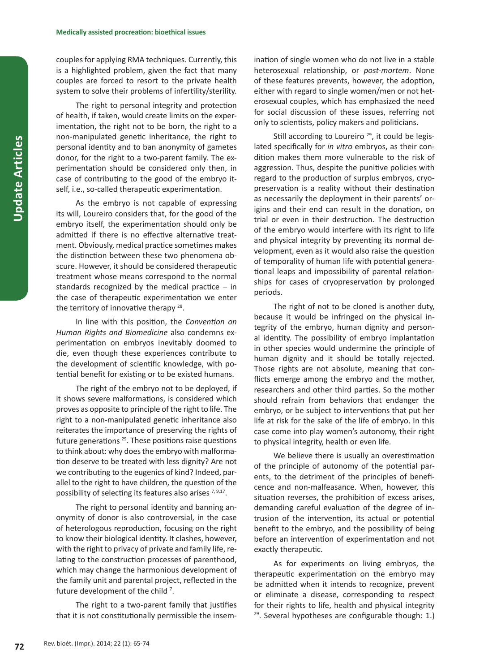couples for applying RMA techniques. Currently, this is a highlighted problem, given the fact that many couples are forced to resort to the private health system to solve their problems of infertility/sterility.

The right to personal integrity and protection of health, if taken, would create limits on the experimentation, the right not to be born, the right to a non-manipulated genetic inheritance, the right to personal identity and to ban anonymity of gametes donor, for the right to a two-parent family. The experimentation should be considered only then, in case of contributing to the good of the embryo itself, i.e., so-called therapeutic experimentation.

As the embryo is not capable of expressing its will, Loureiro considers that, for the good of the embryo itself, the experimentation should only be admitted if there is no effective alternative treatment. Obviously, medical practice sometimes makes the distinction between these two phenomena obscure. However, it should be considered therapeutic treatment whose means correspond to the normal standards recognized by the medical practice – in the case of therapeutic experimentation we enter the territory of innovative therapy  $28$ .

In line with this position, the *Convention on Human Rights and Biomedicine* also condemns experimentation on embryos inevitably doomed to die, even though these experiences contribute to the development of scientific knowledge, with potential benefit for existing or to be existed humans.

The right of the embryo not to be deployed, if it shows severe malformations, is considered which proves as opposite to principle of the right to life. The right to a non-manipulated genetic inheritance also reiterates the importance of preserving the rights of future generations  $29$ . These positions raise questions to think about: why does the embryo with malformation deserve to be treated with less dignity? Are not we contributing to the eugenics of kind? Indeed, parallel to the right to have children, the question of the possibility of selecting its features also arises  $7,9,17$ .

The right to personal identity and banning anonymity of donor is also controversial, in the case of heterologous reproduction, focusing on the right to know their biological identity. It clashes, however, with the right to privacy of private and family life, relating to the construction processes of parenthood, which may change the harmonious development of the family unit and parental project, reflected in the future development of the child<sup>7</sup>.

The right to a two-parent family that justifies that it is not constitutionally permissible the insemination of single women who do not live in a stable heterosexual relationship, or *post-mortem*. None of these features prevents, however, the adoption, either with regard to single women/men or not heterosexual couples, which has emphasized the need for social discussion of these issues, referring not only to scientists, policy makers and politicians.

Still according to Loureiro  $29$ , it could be legislated specifically for *in vitro* embryos, as their condition makes them more vulnerable to the risk of aggression. Thus, despite the punitive policies with regard to the production of surplus embryos, cryopreservation is a reality without their destination as necessarily the deployment in their parents' origins and their end can result in the donation, on trial or even in their destruction. The destruction of the embryo would interfere with its right to life and physical integrity by preventing its normal development, even as it would also raise the question of temporality of human life with potential generational leaps and impossibility of parental relationships for cases of cryopreservation by prolonged periods.

The right of not to be cloned is another duty, because it would be infringed on the physical integrity of the embryo, human dignity and personal identity. The possibility of embryo implantation in other species would undermine the principle of human dignity and it should be totally rejected. Those rights are not absolute, meaning that conflicts emerge among the embryo and the mother, researchers and other third parties. So the mother should refrain from behaviors that endanger the embryo, or be subject to interventions that put her life at risk for the sake of the life of embryo. In this case come into play women's autonomy, their right to physical integrity, health or even life.

We believe there is usually an overestimation of the principle of autonomy of the potential parents, to the detriment of the principles of beneficence and non-malfeasance. When, however, this situation reverses, the prohibition of excess arises, demanding careful evaluation of the degree of intrusion of the intervention, its actual or potential benefit to the embryo, and the possibility of being before an intervention of experimentation and not exactly therapeutic.

As for experiments on living embryos, the therapeutic experimentation on the embryo may be admitted when it intends to recognize, prevent or eliminate a disease, corresponding to respect for their rights to life, health and physical integrity  $29$ . Several hypotheses are configurable though: 1.)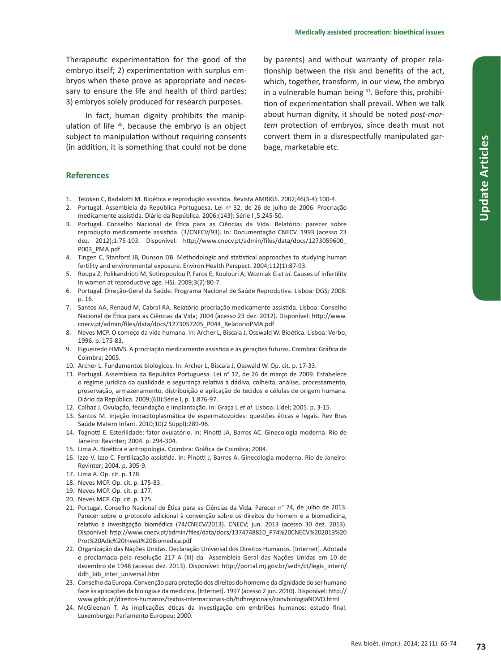Therapeutic experimentation for the good of the embryo itself; 2) experimentation with surplus embryos when these prove as appropriate and necessary to ensure the life and health of third parties; 3) embryos solely produced for research purposes.

In fact, human dignity prohibits the manipulation of life  $30$ , because the embryo is an object subject to manipulation without requiring consents (in addition, it is something that could not be done

by parents) and without warranty of proper relationship between the risk and benefits of the act, which, together, transform, in our view, the embryo in a vulnerable human being  $31$ . Before this, prohibition of experimentation shall prevail. When we talk about human dignity, it should be noted *post-mortem* protection of embryos, since death must not convert them in a disrespectfully manipulated garbage, marketable etc.

### **References**

- 1. Teloken C, Badalotti M. Bioética e reprodução assistida. Revista AMRIGS. 2002;46(3-4):100-4.
- 2. Portugal. Assembleia da República Portuguesa. Lei nº 32, de 26 de julho de 2006. Procriação medicamente assistida. Diário da República. 2006;(143): Série I ,5.245-50.
- 3. Portugal. Conselho Nacional de Ética para as Ciências da Vida. Relatório: parecer sobre reprodução medicamente assistida. (3/CNECV/93). In: Documentação CNECV. 1993 (acesso 23 dez. 2012);1:75-103. Disponível: http://www.cnecv.pt/admin/files/data/docs/1273059600\_ P003\_PMA.pdf
- 4. Tingen C, Stanford JB, Dunson DB. Methodologic and statistical approaches to studying human fertility and environmental exposure. Environ Health Perspect. 2004;112(1):87-93.
- 5. Roupa Z, Polikandrioti M, Sotiropoulou P, Faros E, Koulouri A, Wozniak G *et al*. Causes of infertility in women at reproductive age. HSJ. 2009;3(2):80-7.
- 6. Portugal. Direção-Geral da Saúde. Programa Nacional de Saúde Reprodutiva. Lisboa: DGS; 2008. p. 16.
- 7. Santos AA, Renaud M, Cabral RA. Relatório procriação medicamente assistida. Lisboa: Conselho Nacional de Ética para as Ciências da Vida; 2004 (acesso 23 dez. 2012). Disponível: http://www. cnecv.pt/admin/files/data/docs/1273057205\_P044\_RelatorioPMA.pdf
- 8. Neves MCP. O começo da vida humana. In: Archer L, Biscaia J, Osswald W. Bioética. Lisboa: Verbo; 1996. p. 175-83.
- 9. Figueiredo HMVS. A procriação medicamente assistida e as gerações futuras. Coimbra: Gráfica de Coimbra; 2005.
- 10. Archer L. Fundamentos biológicos. In: Archer L, Biscaia J, Osswald W. Op. cit. p. 17-33.
- 11. Portugal. Assembleia da República Portuguesa. Lei nº 12, de 26 de março de 2009. Estabelece o regime jurídico da qualidade e segurança relativa à dádiva, colheita, análise, processamento, preservação, armazenamento, distribuição e aplicação de tecidos e células de origem humana. Diário da República. 2009;(60):Série I, p. 1.876-97.
- 12. Calhaz J. Ovulação, fecundação e implantação. In: Graça L *et al*. Lisboa: Lidel; 2005. p. 3-15.
- 13. Santos M. Injeção intracitoplasmática de espermatozoides: questões éticas e legais. Rev Bras Saúde Matern Infant. 2010;10(2 Suppl):289-96.
- 14. Tognotti E. Esterilidade: fator ovulatório. In: Pinotti JA, Barros AC. Ginecologia moderna. Rio de Janeiro: Revinter; 2004. p. 294-304.
- 15. Lima A. Bioética e antropologia. Coimbra: Gráfica de Coimbra; 2004.
- 16. Izzo V, Izzo C. Fertilização assistida. In: Pinotti J, Barros A. Ginecologia moderna. Rio de Janeiro: Revinter; 2004. p. 305-9.
- 17. Lima A. Op. cit. p. 178.
- 18. Neves MCP. Op. cit. p. 175-83.
- 19. Neves MCP. Op. cit. p. 177.
- 20. Neves MCP. Op. cit. p. 175.
- 21. Portugal. Conselho Nacional de Ética para as Ciências da Vida. Parecer nº 74, de julho de 2013. Parecer sobre o protocolo adicional à convenção sobre os direitos do homem e a biomedicina, relativo à investigação biomédica (74/CNECV/2013). CNECV; jun. 2013 (acesso 30 dez. 2013). Disponível: http://www.cnecv.pt/admin/files/data/docs/1374748810\_P74%20CNECV%202013%20 Prot%20Adic%20Invest%20Biomedica.pdf
- 22. Organização das Nações Unidas. Declaração Universal dos Direitos Humanos. [Internet]. Adotada e proclamada pela resolução 217 A (III) da Assembleia Geral das Nações Unidas em 10 de dezembro de 1948 (acesso dez. 2013). Disponível: http://portal.mj.gov.br/sedh/ct/legis\_intern/ ddh\_bib\_inter\_universal.htm
- 23. Conselho da Europa. Convenção para proteção dos direitos do homem e da dignidade do ser humano face às aplicações da biologia e da medicina. [Internet]. 1997 (acesso 2 jun. 2010). Disponível: http:// www.gddc.pt/direitos-humanos/textos-internacionais-dh/tidhregionais/convbiologiaNOVO.html
- 24. McGleenan T. As implicações éticas da investigação em embriões humanos: estudo final. Luxemburgo: Parlamento Europeu; 2000.